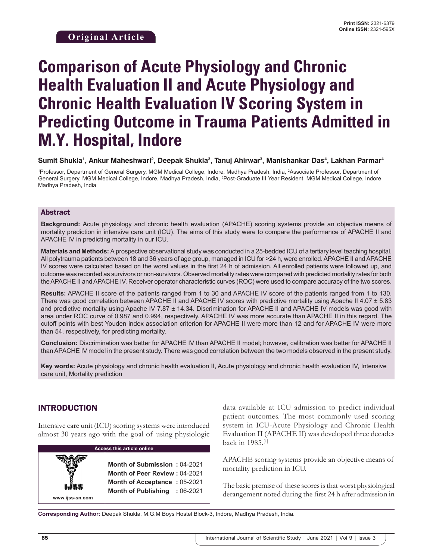# **Comparison of Acute Physiology and Chronic Health Evaluation II and Acute Physiology and Chronic Health Evaluation IV Scoring System in Predicting Outcome in Trauma Patients Admitted in M.Y. Hospital, Indore**

**Sumit Shukla1 , Ankur Maheshwari2 , Deepak Shukla3 , Tanuj Ahirwar3 , Manishankar Das4 , Lakhan Parmar4**

1 Professor, Department of General Surgery, MGM Medical College, Indore, Madhya Pradesh, India, 2 Associate Professor, Department of General Surgery, MGM Medical College, Indore, Madhya Pradesh, India, <sup>3</sup>Post-Graduate III Year Resident, MGM Medical College, Indore, Madhya Pradesh, India

#### Abstract

**Background:** Acute physiology and chronic health evaluation (APACHE) scoring systems provide an objective means of mortality prediction in intensive care unit (ICU). The aims of this study were to compare the performance of APACHE II and APACHE IV in predicting mortality in our ICU.

**Materials and Methods:** A prospective observational study was conducted in a 25-bedded ICU of a tertiary level teaching hospital. All polytrauma patients between 18 and 36 years of age group, managed in ICU for >24 h, were enrolled. APACHE II and APACHE IV scores were calculated based on the worst values in the first 24 h of admission. All enrolled patients were followed up, and outcome was recorded as survivors or non-survivors. Observed mortality rates were compared with predicted mortality rates for both the APACHE II and APACHE IV. Receiver operator characteristic curves (ROC) were used to compare accuracy of the two scores.

**Results:** APACHE II score of the patients ranged from 1 to 30 and APACHE IV score of the patients ranged from 1 to 130. There was good correlation between APACHE II and APACHE IV scores with predictive mortality using Apache II 4.07 ± 5.83 and predictive mortality using Apache IV 7.87 ± 14.34. Discrimination for APACHE II and APACHE IV models was good with area under ROC curve of 0.987 and 0.994, respectively. APACHE IV was more accurate than APACHE II in this regard. The cutoff points with best Youden index association criterion for APACHE II were more than 12 and for APACHE IV were more than 54, respectively, for predicting mortality.

**Conclusion:** Discrimination was better for APACHE IV than APACHE II model; however, calibration was better for APACHE II than APACHE IV model in the present study. There was good correlation between the two models observed in the present study.

**Key words:** Acute physiology and chronic health evaluation II, Acute physiology and chronic health evaluation IV, Intensive care unit, Mortality prediction

### INTRODUCTION

**www.ijss-sn.com**

Intensive care unit (ICU) scoring systems were introduced almost 30 years ago with the goal of using physiologic

| <b>Access this article online</b> |                              |  |
|-----------------------------------|------------------------------|--|
|                                   |                              |  |
|                                   | <b>Month of Submission:</b>  |  |
|                                   | <b>Month of Peer Review:</b> |  |
|                                   | <b>Month of Acceptance:</b>  |  |
|                                   | <b>Month of Publishing</b>   |  |

data available at ICU admission to predict individual patient outcomes. The most commonly used scoring system in ICU-Acute Physiology and Chronic Health Evaluation II (APACHE II) was developed three decades back in 1985.[1]

APACHE scoring systems provide an objective means of mortality prediction in ICU.

The basic premise of these scores is that worst physiological derangement noted during the first 24 h after admission in

**Corresponding Author:** Deepak Shukla, M.G.M Boys Hostel Block-3, Indore, Madhya Pradesh, India.

**Month of Submission :** 04-2021 **Month of Peer Review :** 04-2021 **Month of Acceptance :** 05-2021 **Month of Publishing :** 06-2021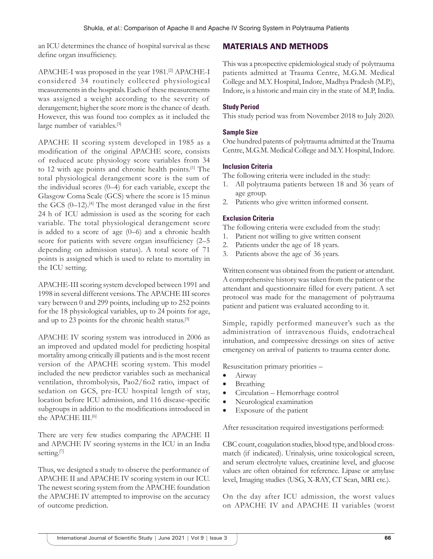an ICU determines the chance of hospital survival as these define organ insufficiency.

APACHE-I was proposed in the year 1981.<sup>[2]</sup> APACHE-I considered 34 routinely collected physiological measurements in the hospitals. Each of these measurements was assigned a weight according to the severity of derangement; higher the score more is the chance of death. However, this was found too complex as it included the large number of variables.[3]

APACHE II scoring system developed in 1985 as a modification of the original APACHE score, consists of reduced acute physiology score variables from 34 to 12 with age points and chronic health points.[1] The total physiological derangement score is the sum of the individual scores (0–4) for each variable, except the Glasgow Coma Scale (GCS) where the score is 15 minus the GCS  $(0-12)$ .<sup>[4]</sup> The most deranged value in the first 24 h of ICU admission is used as the scoring for each variable. The total physiological derangement score is added to a score of age (0–6) and a chronic health score for patients with severe organ insufficiency (2–5 depending on admission status). A total score of 71 points is assigned which is used to relate to mortality in the ICU setting.

APACHE-III scoring system developed between 1991 and 1998 in several different versions. The APACHE III scores vary between 0 and 299 points, including up to 252 points for the 18 physiological variables, up to 24 points for age, and up to 23 points for the chronic health status.<sup>[5]</sup>

APACHE IV scoring system was introduced in 2006 as an improved and updated model for predicting hospital mortality among critically ill patients and is the most recent version of the APACHE scoring system. This model included the new predictor variables such as mechanical ventilation, thrombolysis, Pao2/fio2 ratio, impact of sedation on GCS, pre-ICU hospital length of stay, location before ICU admission, and 116 disease-specific subgroups in addition to the modifications introduced in the APACHE III.[6]

There are very few studies comparing the APACHE II and APACHE IV scoring systems in the ICU in an India setting.<sup>[7]</sup>

Thus, we designed a study to observe the performance of APACHE II and APACHE IV scoring system in our ICU. The newest scoring system from the APACHE foundation the APACHE IV attempted to improvise on the accuracy of outcome prediction.

# MATERIALS AND METHODS

This was a prospective epidemiological study of polytrauma patients admitted at Trauma Centre, M.G.M. Medical College and M.Y. Hospital, Indore, Madhya Pradesh (M.P.), Indore, is a historic and main city in the state of M.P, India.

#### **Study Period**

This study period was from November 2018 to July 2020.

#### **Sample Size**

One hundred patents of polytrauma admitted at the Trauma Centre, M.G.M. Medical College and M.Y. Hospital, Indore.

#### **Inclusion Criteria**

The following criteria were included in the study:

- 1. All polytrauma patients between 18 and 36 years of age group.
- 2. Patients who give written informed consent.

#### **Exclusion Criteria**

The following criteria were excluded from the study:

- 1. Patient not willing to give written consent
- 2. Patients under the age of 18 years.
- 3. Patients above the age of 36 years.

Written consent was obtained from the patient or attendant. A comprehensive history was taken from the patient or the attendant and questionnaire filled for every patient. A set protocol was made for the management of polytrauma patient and patient was evaluated according to it.

Simple, rapidly performed maneuver's such as the administration of intravenous fluids, endotracheal intubation, and compressive dressings on sites of active emergency on arrival of patients to trauma center done.

Resuscitation primary priorities –

- Airway
- Breathing
- Circulation Hemorrhage control
- Neurological examination
- Exposure of the patient

After resuscitation required investigations performed:

CBC count, coagulation studies, blood type, and blood crossmatch (if indicated). Urinalysis, urine toxicological screen, and serum electrolyte values, creatinine level, and glucose values are often obtained for reference. Lipase or amylase level, Imaging studies (USG, X-RAY, CT Scan, MRI etc.).

On the day after ICU admission, the worst values on APACHE IV and APACHE II variables (worst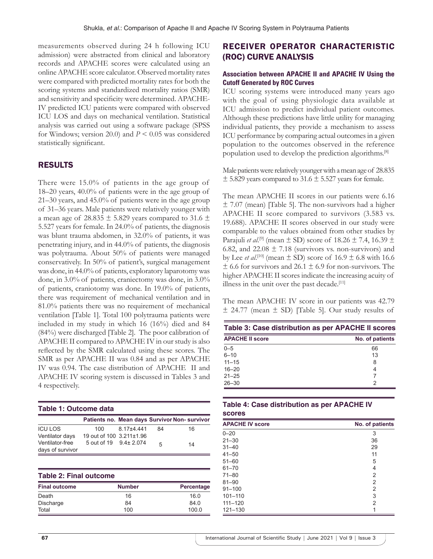measurements observed during 24 h following ICU admission) were abstracted from clinical and laboratory records and APACHE scores were calculated using an online APACHE score calculator. Observed mortality rates were compared with predicted mortality rates for both the scoring systems and standardized mortality ratios (SMR) and sensitivity and specificity were determined. APACHE-IV predicted ICU patients were compared with observed ICU LOS and days on mechanical ventilation. Statistical analysis was carried out using a software package (SPSS for Windows; version 20.0) and *P* < 0.05 was considered statistically significant.

#### RESULTS

There were 15.0% of patients in the age group of 18–20 years, 40.0% of patients were in the age group of 21–30 years, and 45.0% of patients were in the age group of 31–36 years. Male patients were relatively younger with a mean age of 28.835  $\pm$  5.829 years compared to 31.6  $\pm$ 5.527 years for female. In 24.0% of patients, the diagnosis was blunt trauma abdomen, in 32.0% of patients, it was penetrating injury, and in 44.0% of patients, the diagnosis was polytrauma. About 50% of patients were managed conservatively. In 50% of patient's, surgical management was done, in 44.0% of patients, exploratory laparotomy was done, in 3.0% of patients, craniectomy was done, in 3.0% of patients, craniotomy was done. In 19.0% of patients, there was requirement of mechanical ventilation and in 81.0% patients there was no requirement of mechanical ventilation [Table 1]. Total 100 polytrauma patients were included in my study in which 16 (16%) died and 84 (84%) were discharged [Table 2]. The poor calibration of APACHE II compared to APACHE IV in our study is also reflected by the SMR calculated using these scores. The SMR as per APACHE II was 0.84 and as per APACHE IV was 0.94. The case distribution of APACHE II and APACHE IV scoring system is discussed in Tables 3 and 4 respectively.

| Table 1: Outcome data               |                          |            |    |                                               |
|-------------------------------------|--------------------------|------------|----|-----------------------------------------------|
|                                     |                          |            |    | Patients no. Mean days Survivor Non- survivor |
| <b>ICU LOS</b>                      | 100.                     | 8.17±4.441 | 84 | 16                                            |
| Ventilator days                     | 19 out of 100 3.211±1.96 |            |    |                                               |
| Ventilator-free<br>days of survivor | 5 out of 19 9.4 ± 2.074  |            | 5  | 14                                            |

| <b>Table 2: Final outcome</b> |               |            |  |
|-------------------------------|---------------|------------|--|
| <b>Final outcome</b>          | <b>Number</b> | Percentage |  |
| Death                         | 16            | 16.0       |  |
| Discharge                     | 84            | 84 0       |  |
| Total                         | 100           | 100.0      |  |

# RECEIVER OPERATOR CHARACTERISTIC (ROC) CURVE ANALYSIS

#### **Association between APACHE II and APACHE IV Using the Cutoff Generated by ROC Curves**

ICU scoring systems were introduced many years ago with the goal of using physiologic data available at ICU admission to predict individual patient outcomes. Although these predictions have little utility for managing individual patients, they provide a mechanism to assess ICU performance by comparing actual outcomes in a given population to the outcomes observed in the reference population used to develop the prediction algorithms.[8]

Male patients were relatively younger with a mean age of 28.835  $\pm$  5.829 years compared to 31.6  $\pm$  5.527 years for female.

The mean APACHE II scores in our patients were 6.16  $\pm$  7.07 (mean) [Table 5]. The non-survivors had a higher APACHE II score compared to survivors (3.583 vs. 19.688). APACHE II scores observed in our study were comparable to the values obtained from other studies by Parajuli *et al*. [9] (mean ± SD) score of 18.26 ± 7.4, 16.39 ± 6.82, and 22.08  $\pm$  7.18 (survivors vs. non-survivors) and by Lee *et al.*<sup>[10]</sup> (mean  $\pm$  SD) score of 16.9  $\pm$  6.8 with 16.6  $\pm$  6.6 for survivors and 26.1  $\pm$  6.9 for non-survivors. The higher APACHE II scores indicate the increasing acuity of illness in the unit over the past decade.<sup>[11]</sup>

The mean APACHE IV score in our patients was 42.79  $\pm$  24.77 (mean  $\pm$  SD) [Table 5]. Our study results of

| Table 3: Case distribution as per APACHE II scores |                 |
|----------------------------------------------------|-----------------|
| <b>APACHE II score</b>                             | No. of patients |
| $0 - 5$                                            | 66              |
| $6 - 10$                                           | 13              |
| $11 - 15$                                          | 8               |
| $16 - 20$                                          | 4               |
| $21 - 25$                                          |                 |
| $26 - 30$                                          | 2               |

|        | Table 4: Case distribution as per APACHE IV |  |
|--------|---------------------------------------------|--|
| scores |                                             |  |

| <b>APACHE IV score</b> | No. of patients |
|------------------------|-----------------|
| $0 - 20$               | 3               |
| $21 - 30$              | 36              |
| $31 - 40$              | 29              |
| $41 - 50$              | 11              |
| $51 - 60$              | 5               |
| $61 - 70$              | 4               |
| $71 - 80$              | 2               |
| $81 - 90$              | 2               |
| $91 - 100$             | 2               |
| $101 - 110$            | 3               |
| $111 - 120$            | 2               |
| $121 - 130$            | 1               |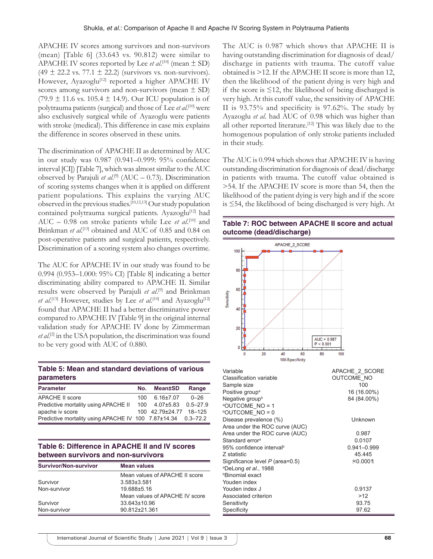APACHE IV scores among survivors and non-survivors (mean) [Table 6] (33.643 vs. 90.812) were similar to APACHE IV scores reported by Lee *et al*. [10] (mean ± SD)  $(49 \pm 22.2 \text{ vs. } 77.1 \pm 22.2)$  (survivors vs. non-survivors). However, Ayazoglu<sup>[12]</sup> reported a higher APACHE IV scores among survivors and non-survivors (mean  $\pm$  SD)  $(79.9 \pm 11.6 \text{ vs. } 105.4 \pm 14.9)$ . Our ICU population is of polytrauma patients (surgical) and those of Lee *et al*. [10] were also exclusively surgical while of Ayazoglu were patients with stroke (medical). This difference in case mix explains the difference in scores observed in these units.

The discrimination of APACHE II as determined by AUC in our study was 0.987 (0.941–0.999: 95% confidence interval [CI]) [Table 7], which was almost similar to the AUC observed by Parajuli *et al*. [9] (AUC – 0.73). Discrimination of scoring systems changes when it is applied on different patient populations. This explains the varying AUC observed in the previous studies.[10,12,13] Our study population contained polytrauma surgical patients. Ayazoglu<sup>[12]</sup> had AUC – 0.98 on stroke patients while Lee *et al*.<sup>[10]</sup> and Brinkman et al.<sup>[13]</sup> obtained and AUC of 0.85 and 0.84 on post-operative patients and surgical patients, respectively. Discrimination of a scoring system also changes overtime.

The AUC for APACHE IV in our study was found to be 0.994 (0.953–1.000: 95% CI) [Table 8] indicating a better discriminating ability compared to APACHE II. Similar results were observed by Parajuli *et al*. [9] and Brinkman et al.<sup>[13]</sup> However, studies by Lee et al.<sup>[10]</sup> and Ayazoglu<sup>[12]</sup> found that APACHE II had a better discriminative power compared to APACHE IV [Table 9] in the original internal validation study for APACHE IV done by Zimmerman *et al*. [2] in the USA population, the discrimination was found to be very good with AUC of 0.880.

#### **Table 5: Mean and standard deviations of various parameters**

| <b>Parameter</b>                                             | No. | Mean±SD                                | Range |
|--------------------------------------------------------------|-----|----------------------------------------|-------|
| <b>APACHE II score</b>                                       |     | $100 \quad 6.16 \pm 7.07 \quad 0 - 26$ |       |
| Predictive mortality using APACHE II                         |     | 100 4.07±5.83 0.5-27.9                 |       |
| apache iv score                                              |     | 100 42.79±24.77 18-125                 |       |
| Predictive mortality using APACHE IV 100 7.87±14.34 0.3-72.2 |     |                                        |       |

#### **Table 6: Difference in APACHE II and IV scores between survivors and non-survivors**

| <b>Survivor/Non-survivor</b> | <b>Mean values</b>             |  |  |
|------------------------------|--------------------------------|--|--|
|                              | Mean values of APACHE II score |  |  |
| Survivor                     | $3.583 \pm 3.581$              |  |  |
| Non-survivor                 | 19.688±5.16                    |  |  |
|                              | Mean values of APACHE IV score |  |  |
| Survivor                     | 33.643±10.96                   |  |  |
| Non-survivor                 | 90.812±21.361                  |  |  |

The AUC is 0.987 which shows that APACHE II is having outstanding discrimination for diagnosis of dead/ discharge in patients with trauma. The cutoff value obtained is >12. If the APACHE II score is more than 12, then the likelihood of the patient dying is very high and if the score is ≤12, the likelihood of being discharged is very high. At this cutoff value, the sensitivity of APACHE II is 93.75% and specificity is 97.62%. The study by Ayazoglu *et al*. had AUC of 0.98 which was higher than all other reported literature.<sup>[12]</sup> This was likely due to the homogenous population of only stroke patients included in their study.

The AUC is 0.994 which shows that APACHE IV is having outstanding discrimination for diagnosis of dead/discharge in patients with trauma. The cutoff value obtained is >54. If the APACHE IV score is more than 54, then the likelihood of the patient dying is very high and if the score is ≤54, the likelihood of being discharged is very high. At

**Table 7: ROC between APACHE II score and actual outcome (dead/discharge)**



| Variable                             | APACHE 2 SCORE    |
|--------------------------------------|-------------------|
| Classification variable              | <b>OUTCOME NO</b> |
| Sample size                          | 100               |
| Positive group <sup>a</sup>          | 16 (16.00%)       |
| Negative group <sup>b</sup>          | 84 (84.00%)       |
| <sup>a</sup> OUTCOME NO = 1          |                   |
| <b>POUTCOME NO = 0</b>               |                   |
| Disease prevalence (%)               | Unknown           |
| Area under the ROC curve (AUC)       |                   |
| Area under the ROC curve (AUC)       | 0.987             |
| Standard errorª                      | 0.0107            |
| 95% confidence interval <sup>ь</sup> | $0.941 - 0.999$   |
| Z statistic                          | 45.445            |
| Significance level $P$ (area=0.5)    | <b>≮0.0001</b>    |
| ªDeLong <i>et al</i> ., 1988         |                   |
| <sup>b</sup> Binomial exact          |                   |
| Youden index                         |                   |
| Youden index J                       | 0.9137            |
| Associated criterion                 | >12               |
| Sensitivity                          | 93.75             |
| Specificity                          | 97.62             |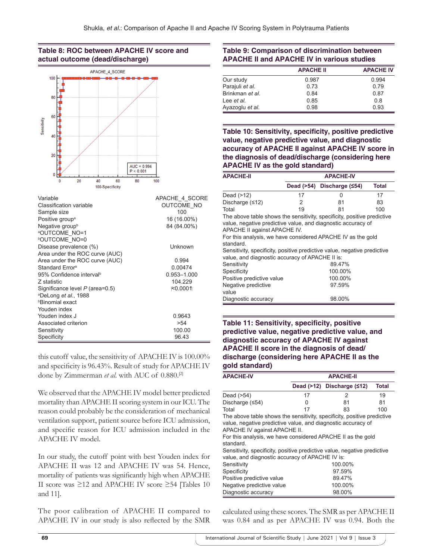#### **Table 8: ROC between APACHE IV score and actual outcome (dead/discharge)**



| Variable                             | APACHE 4 SCORE |
|--------------------------------------|----------------|
| Classification variable              | OUTCOME NO     |
| Sample size                          | 100            |
| Positive group <sup>a</sup>          | 16 (16.00%)    |
| Negative group <sup>b</sup>          | 84 (84.00%)    |
| <b>AOUTCOME NO=1</b>                 |                |
| <b>POUTCOME NO=0</b>                 |                |
| Disease prevalence (%)               | Unknown        |
| Area under the ROC curve (AUC)       |                |
| Area under the ROC curve (AUC)       | 0.994          |
| Standard Error <sup>a</sup>          | 0.00474        |
| 95% Confidence interval <sup>b</sup> | 0.953-1.000    |
| Z statistic                          | 104.229        |
| Significance level P (area=0.5)      | i≍0.00011      |
| <sup>a</sup> DeLong et al., 1988     |                |
| <b><i><b>Binomial</b></i></b> exact  |                |
| Youden index                         |                |
| Youden index J                       | 0.9643         |
| Associated criterion                 | >54            |
| Sensitivity                          | 100.00         |
| Specificity                          | 96.43          |

this cutoff value, the sensitivity of APACHE IV is 100.00% and specificity is 96.43%. Result of study for APACHE IV done by Zimmerman *et al*. with AUC of 0.880.[2]

We observed that the APACHE IV model better predicted mortality than APACHE II scoring system in our ICU. The reason could probably be the consideration of mechanical ventilation support, patient source before ICU admission, and specific reason for ICU admission included in the APACHE IV model.

In our study, the cutoff point with best Youden index for APACHE II was 12 and APACHE IV was 54. Hence, mortality of patients was significantly high when APACHE II score was ≥12 and APACHE IV score ≥54 [Tables 10 and 11].

The poor calibration of APACHE II compared to APACHE IV in our study is also reflected by the SMR

#### **Table 9: Comparison of discrimination between APACHE II and APACHE IV in various studies**

|                 | <b>APACHE II</b> | <b>APACHE IV</b> |
|-----------------|------------------|------------------|
| Our study       | 0.987            | 0.994            |
| Parajuli et al. | 0.73             | 0.79             |
| Brinkman et al. | 0.84             | 0.87             |
| Lee et al.      | 0.85             | 0.8              |
| Ayazoglu et al. | 0.98             | 0.93             |

**Table 10: Sensitivity, specificity, positive predictive value, negative predictive value, and diagnostic accuracy of APACHE II against APACHE IV score in the diagnosis of dead/discharge (considering here APACHE IV as the gold standard)**

| <b>APACHE-II</b>                                                                                                                                                                                                                                     | <b>APACHE-IV</b> |                            |              |
|------------------------------------------------------------------------------------------------------------------------------------------------------------------------------------------------------------------------------------------------------|------------------|----------------------------|--------------|
|                                                                                                                                                                                                                                                      |                  | Dead (>54) Discharge (≤54) | <b>Total</b> |
| Dead (>12)                                                                                                                                                                                                                                           | 17               | 0                          | 17           |
| Discharge (≤12)                                                                                                                                                                                                                                      | 2                | 81                         | 83           |
| Total                                                                                                                                                                                                                                                | 19               | 81                         | 100          |
| The above table shows the sensitivity, specificity, positive predictive                                                                                                                                                                              |                  |                            |              |
| value, negative predictive value, and diagnostic accuracy of<br>APACHE II against APACHE IV.<br>For this analysis, we have considered APACHE IV as the gold<br>standard.<br>Sensitivity, specificity, positive predictive value, negative predictive |                  |                            |              |
| value, and diagnostic accuracy of APACHE II is:                                                                                                                                                                                                      |                  |                            |              |
| Sensitivity                                                                                                                                                                                                                                          |                  | 89.47%                     |              |
| Specificity                                                                                                                                                                                                                                          | 100.00%          |                            |              |
| Positive predictive value                                                                                                                                                                                                                            |                  | 100.00%                    |              |
| Negative predictive                                                                                                                                                                                                                                  |                  | 97.59%                     |              |
| value                                                                                                                                                                                                                                                |                  |                            |              |
| Diagnostic accuracy                                                                                                                                                                                                                                  |                  | 98.00%                     |              |

#### **Table 11: Sensitivity, specificity, positive predictive value, negative predictive value, and diagnostic accuracy of APACHE IV against APACHE II score in the diagnosis of dead/ discharge (considering here APACHE II as the gold standard)**

| <b>APACHE-IV</b>                                                                                                                                                                                                                                                                                                                                                                          | <b>APACHE-II</b> |                            |              |
|-------------------------------------------------------------------------------------------------------------------------------------------------------------------------------------------------------------------------------------------------------------------------------------------------------------------------------------------------------------------------------------------|------------------|----------------------------|--------------|
|                                                                                                                                                                                                                                                                                                                                                                                           |                  | Dead (>12) Discharge (≤12) | <b>Total</b> |
| Dead (>54)                                                                                                                                                                                                                                                                                                                                                                                | 17               | 2                          | 19           |
| Discharge (≤54)                                                                                                                                                                                                                                                                                                                                                                           | 0                | 81                         | 81           |
| Total                                                                                                                                                                                                                                                                                                                                                                                     | 17               | 83                         | 100          |
| The above table shows the sensitivity, specificity, positive predictive<br>value, negative predictive value, and diagnostic accuracy of<br><b>APACHE IV against APACHE II.</b><br>For this analysis, we have considered APACHE II as the gold<br>standard.<br>Sensitivity, specificity, positive predictive value, negative predictive<br>value, and diagnostic accuracy of APACHE IV is: |                  |                            |              |
| Sensitivity                                                                                                                                                                                                                                                                                                                                                                               |                  | 100.00%                    |              |
| Specificity                                                                                                                                                                                                                                                                                                                                                                               |                  | 97.59%                     |              |
| Positive predictive value                                                                                                                                                                                                                                                                                                                                                                 |                  | 89.47%                     |              |
| Negative predictive value                                                                                                                                                                                                                                                                                                                                                                 |                  | 100.00%                    |              |
| Diagnostic accuracy                                                                                                                                                                                                                                                                                                                                                                       |                  | 98.00%                     |              |

calculated using these scores. The SMR as per APACHE II was 0.84 and as per APACHE IV was 0.94. Both the